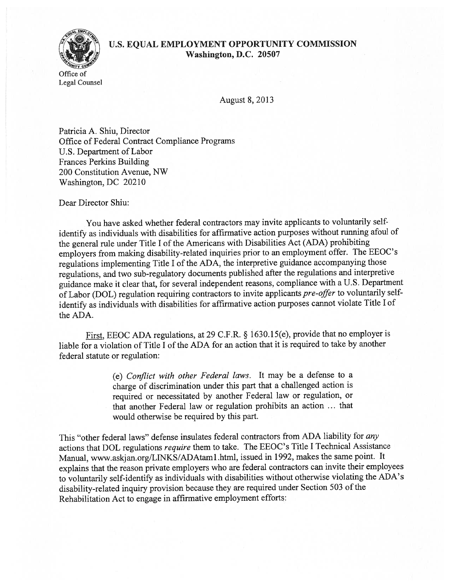## Office of Legal Counsel

## U.S. EQUAL EMPLOYMENT OPPORTUNITY COMMISSION Washington, D.C. 20507

August 8, 2013

Patricia A. Shiu, Director Office of Federal Contract Compliance Programs U.S. Department of Labor Frances Perkins Building 200 Constitution Avenue, NW Washington, DC 20210

Dear Director Shiu:

You have asked whether federal contractors may invite applicants to voluntarily selfidentify as individuals with disabilities for affirmative action purposes without running afoul of the genera<sup>l</sup> rule under Title <sup>I</sup> of the Americans with Disabilities Act (ADA) prohibiting employers from making disability-related inquiries prior to an employment offer. The EEOC's regulations implementing Title <sup>I</sup> of the ADA, the interpretive guidance accompanying those regulations, and two sub-regulatory documents published after the regulations and interpretive guidance make it clear that, for several independent reasons, compliance with <sup>a</sup> U.S. Department of Labor (DOL) regulation requiring contractors to invite applicants pre-offer to voluntarily selfidentify as individuals with disabilities for affirmative action purposes cannot violate Title <sup>I</sup> of the ADA.

First, EEOC ADA regulations, at <sup>29</sup> C.F.R. § 1630.15(e), provide that no employer is liable for a violation of Title I of the ADA for an action that it is required to take by another federal statute or regulation:

> (e) Conflict with other Federal laws. It may be <sup>a</sup> defense to <sup>a</sup> charge of discrimination under this par<sup>t</sup> that <sup>a</sup> challenged action is required or necessitated by another Federal law or regulation, or that another Federal law or regulation prohibits an action ... that would otherwise be required by this part.

This "other federal laws" defense insulates federal contractors from ADA liability for any actions that DOL regulations require them to take. The EEOC's Title <sup>I</sup> Technical Assistance Manual, www.askjan.org/LINKS/ADAtaml.html, issued in 1992, makes the same point. It explains that the reason private employers who are federal contractors can invite their employees to voluntarily self-identify as individuals with disabilities without otherwise violating the ADA's disability-related inquiry provision because they are required under Section 503 of the Rehabilitation Act to engage in affirmative employment efforts: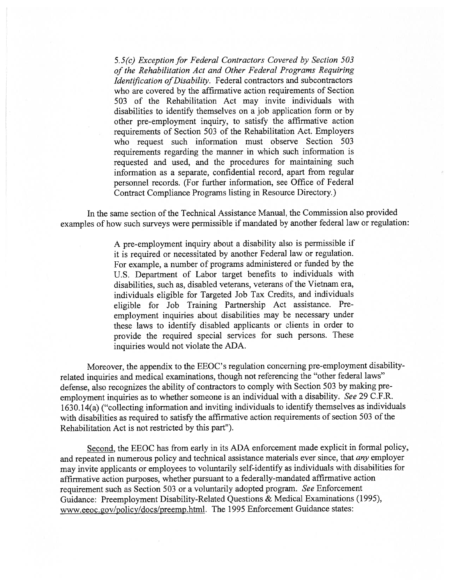$5.5(c)$  Exception for Federal Contractors Covered by Section  $503$ of the Rehabilitation Act and Other Federal Programs Requiring Identification of Disability. Federal contractors and subcontractors who are covered by the affirmative action requirements of Section 503 of the Rehabilitation Act may invite individuals with disabilities to identify themselves on <sup>a</sup> job application form or by other pre-employment inquiry, to satisfy the affirmative action requirements of Section 503 of the Rehabilitation Act Employers who reques<sup>t</sup> such information must observe Section 503 requirements regarding the manner in which such information is requested and used, and the procedures for maintaining such information as <sup>a</sup> separate, confidential record, apar<sup>t</sup> from regular personne<sup>l</sup> records (For further information, see Office of Federal Contract Compliance Programs listing in Resource Directory)

In the same section of the Technical Assistance Manual, the Commission also provided examples of how such surveys were permissible if mandated by another federal law or regulation:

> <sup>A</sup> pre-employment inquiry about <sup>a</sup> disability also is permissible if it is required or necessitated by another Federal law or regulation. For example, <sup>a</sup> number of programs administered or funded by the U.S. Department of Labor target benefits to individuals with disabilities, such as, disabled veterans, veterans of the Vietnam era, individuals eligible for Targeted Job Tax Credits, and individuals eligible for Job Training Partnership Act assistance. Pre employment inquiries about disabilities may be necessary under these laws to identify disabled applicants or clients in order to provide the required special services for such persons. These inquiries would not violate the ADA.

Moreover, the appendix to the EEOC's regulation concerning pre-employment disabilityrelated inquiries and medical examinations, though not referencing the "other federal laws" defense, also recognizes the ability of contractors to comply with Section <sup>503</sup> by making pre employment inquiries as to whether someone is an individual with <sup>a</sup> disability. See <sup>29</sup> C.F.R. 1630.14(a) ("collecting information and inviting individuals to identify themselves as individuals with disabilities as required to satisfy the affirmative action requirements of section <sup>503</sup> of the Rehabilitation Act is not restricted by this par<sup>t</sup>").

Second, the EEOC has from early in its ADA enforcement made explicit in formal policy, and repeated in numerous policy and technical assistance materials ever since, that *any* employer may invite applicants or employees to voluntarily self-identify as individuals with disabilities for affirmative action purposes, whether pursuan<sup>t</sup> to <sup>a</sup> federally-mandated affirmative action requirement such as Section <sup>503</sup> or <sup>a</sup> voluntarily adopted program. See Enforcement Guidance: Preemployment Disability-Related Questions & Medical Examinations (1995), www.eeoc.gov/policy/docs/preemp.html. The 1995 Enforcement Guidance states: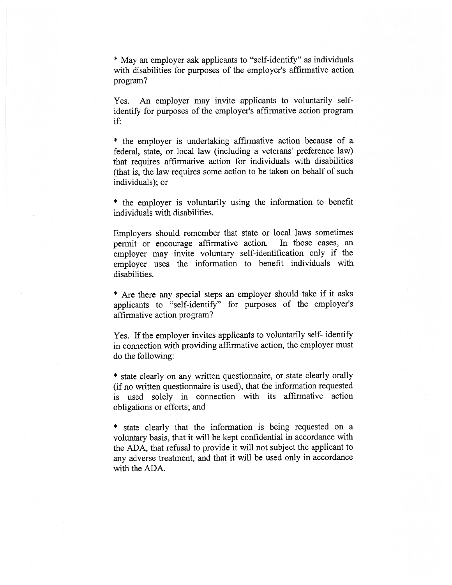\* May an employer ask applicants to "self-identify" as individuals with disabilities for purposes of the employer's affirmative action program?

Yes. An employer may invite applicants to voluntarily selfidentify for purposes of the employer's affirmative action program if:

\* the employer is undertaking affirmative action because of <sup>a</sup> federal, state, or local law (including <sup>a</sup> veterans' preference law) that requires affirmative action for individuals with disabilities (that is, the law requires some action to be taken on behalf of such individuals); or

\* the employer is voluntarily using the information to benefit individuals with disabilities.

Employers should remember that state or local laws sometimes permit or encourage affirmative action. In those cases, an employer may invite voluntary self-identification only if the employer uses the information to benefit individuals with disabilities.

\* Are there any special steps an employer should take if it asks applicants to "self-identify" for purposes of the employer's affirmative action program?

Yes. If the employer invites applicants to voluntarily self- identify in connection with providing affirmative action, the employer must do the following:

\* state clearly on any written questionnaire, or state clearly orally (if no written questionnaire is used), that the information requested is used solely in connection with its affirmative action obligations or efforts; and

\* state clearly that the information is being requested on <sup>a</sup> voluntary basis, that it will be kept confidential in accordance with the ADA, that refusal to provide it will not subject the applicant to any adverse treatment, and that it will be used only in accordance with the ADA.